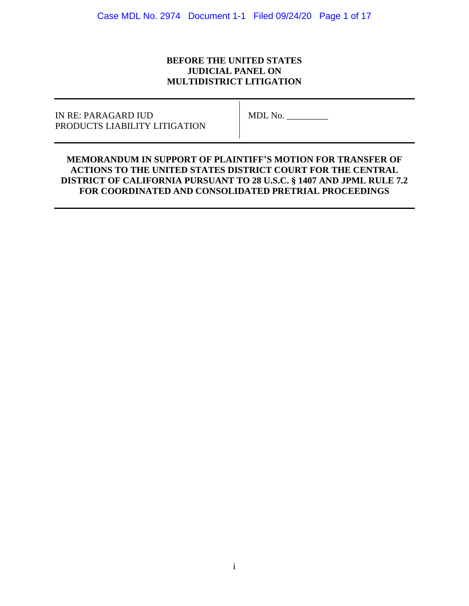# **BEFORE THE UNITED STATES JUDICIAL PANEL ON MULTIDISTRICT LITIGATION**

# IN RE: PARAGARD IUD MDL No. PRODUCTS LIABILITY LITIGATION

# **MEMORANDUM IN SUPPORT OF PLAINTIFF'S MOTION FOR TRANSFER OF ACTIONS TO THE UNITED STATES DISTRICT COURT FOR THE CENTRAL DISTRICT OF CALIFORNIA PURSUANT TO 28 U.S.C. § 1407 AND JPML RULE 7.2 FOR COORDINATED AND CONSOLIDATED PRETRIAL PROCEEDINGS**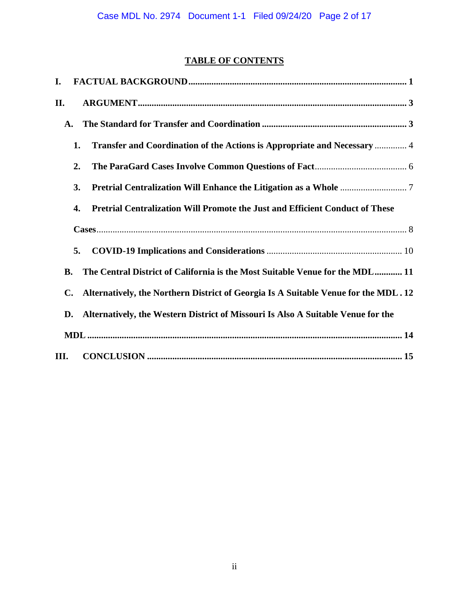# **TABLE OF CONTENTS**

| I.             |                                                                                     |
|----------------|-------------------------------------------------------------------------------------|
| II.            |                                                                                     |
| $\mathbf{A}$ . |                                                                                     |
| 1.             | Transfer and Coordination of the Actions is Appropriate and Necessary  4            |
| 2.             |                                                                                     |
| 3.             |                                                                                     |
| 4.             | <b>Pretrial Centralization Will Promote the Just and Efficient Conduct of These</b> |
|                |                                                                                     |
| 5.             |                                                                                     |
| <b>B.</b>      | The Central District of California is the Most Suitable Venue for the MDL 11        |
| C.             | Alternatively, the Northern District of Georgia Is A Suitable Venue for the MDL. 12 |
| D.             | Alternatively, the Western District of Missouri Is Also A Suitable Venue for the    |
|                |                                                                                     |
| III.           |                                                                                     |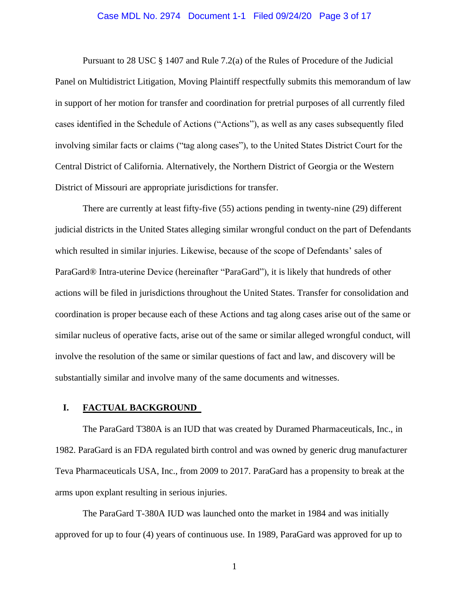#### Case MDL No. 2974 Document 1-1 Filed 09/24/20 Page 3 of 17

Pursuant to 28 USC § 1407 and Rule 7.2(a) of the Rules of Procedure of the Judicial Panel on Multidistrict Litigation, Moving Plaintiff respectfully submits this memorandum of law in support of her motion for transfer and coordination for pretrial purposes of all currently filed cases identified in the Schedule of Actions ("Actions"), as well as any cases subsequently filed involving similar facts or claims ("tag along cases"), to the United States District Court for the Central District of California. Alternatively, the Northern District of Georgia or the Western District of Missouri are appropriate jurisdictions for transfer.

There are currently at least fifty-five (55) actions pending in twenty-nine (29) different judicial districts in the United States alleging similar wrongful conduct on the part of Defendants which resulted in similar injuries. Likewise, because of the scope of Defendants' sales of ParaGard® Intra-uterine Device (hereinafter "ParaGard"), it is likely that hundreds of other actions will be filed in jurisdictions throughout the United States. Transfer for consolidation and coordination is proper because each of these Actions and tag along cases arise out of the same or similar nucleus of operative facts, arise out of the same or similar alleged wrongful conduct, will involve the resolution of the same or similar questions of fact and law, and discovery will be substantially similar and involve many of the same documents and witnesses.

#### <span id="page-2-0"></span>**I. FACTUAL BACKGROUND**

The ParaGard T380A is an IUD that was created by Duramed Pharmaceuticals, Inc., in 1982. ParaGard is an FDA regulated birth control and was owned by generic drug manufacturer Teva Pharmaceuticals USA, Inc., from 2009 to 2017. ParaGard has a propensity to break at the arms upon explant resulting in serious injuries.

The ParaGard T-380A IUD was launched onto the market in 1984 and was initially approved for up to four (4) years of continuous use. In 1989, ParaGard was approved for up to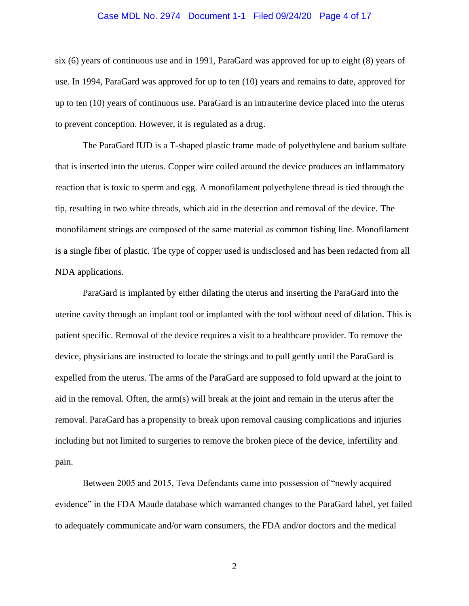#### Case MDL No. 2974 Document 1-1 Filed 09/24/20 Page 4 of 17

six (6) years of continuous use and in 1991, ParaGard was approved for up to eight (8) years of use. In 1994, ParaGard was approved for up to ten (10) years and remains to date, approved for up to ten (10) years of continuous use. ParaGard is an intrauterine device placed into the uterus to prevent conception. However, it is regulated as a drug.

The ParaGard IUD is a T-shaped plastic frame made of polyethylene and barium sulfate that is inserted into the uterus. Copper wire coiled around the device produces an inflammatory reaction that is toxic to sperm and egg. A monofilament polyethylene thread is tied through the tip, resulting in two white threads, which aid in the detection and removal of the device. The monofilament strings are composed of the same material as common fishing line. Monofilament is a single fiber of plastic. The type of copper used is undisclosed and has been redacted from all NDA applications.

ParaGard is implanted by either dilating the uterus and inserting the ParaGard into the uterine cavity through an implant tool or implanted with the tool without need of dilation. This is patient specific. Removal of the device requires a visit to a healthcare provider. To remove the device, physicians are instructed to locate the strings and to pull gently until the ParaGard is expelled from the uterus. The arms of the ParaGard are supposed to fold upward at the joint to aid in the removal. Often, the arm(s) will break at the joint and remain in the uterus after the removal. ParaGard has a propensity to break upon removal causing complications and injuries including but not limited to surgeries to remove the broken piece of the device, infertility and pain.

Between 2005 and 2015, Teva Defendants came into possession of "newly acquired evidence" in the FDA Maude database which warranted changes to the ParaGard label, yet failed to adequately communicate and/or warn consumers, the FDA and/or doctors and the medical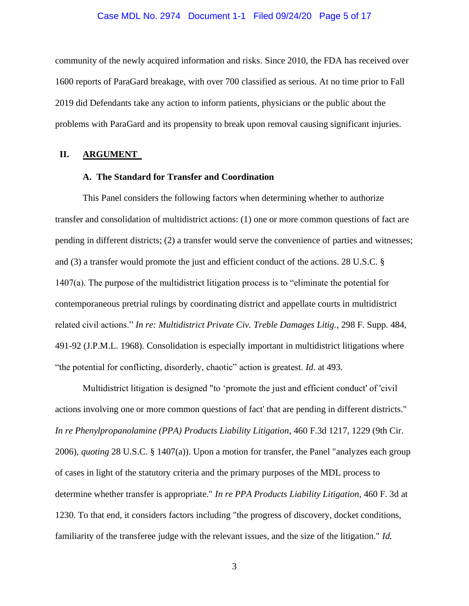#### Case MDL No. 2974 Document 1-1 Filed 09/24/20 Page 5 of 17

community of the newly acquired information and risks. Since 2010, the FDA has received over 1600 reports of ParaGard breakage, with over 700 classified as serious. At no time prior to Fall 2019 did Defendants take any action to inform patients, physicians or the public about the problems with ParaGard and its propensity to break upon removal causing significant injuries.

#### <span id="page-4-1"></span><span id="page-4-0"></span>**II. ARGUMENT**

## **A. The Standard for Transfer and Coordination**

This Panel considers the following factors when determining whether to authorize transfer and consolidation of multidistrict actions: (1) one or more common questions of fact are pending in different districts; (2) a transfer would serve the convenience of parties and witnesses; and (3) a transfer would promote the just and efficient conduct of the actions. 28 U.S.C. § 1407(a). The purpose of the multidistrict litigation process is to "eliminate the potential for contemporaneous pretrial rulings by coordinating district and appellate courts in multidistrict related civil actions." *In re: Multidistrict Private Civ. Treble Damages Litig.*, 298 F. Supp. 484, 491-92 (J.P.M.L. 1968). Consolidation is especially important in multidistrict litigations where "the potential for conflicting, disorderly, chaotic" action is greatest. *Id*. at 493.

Multidistrict litigation is designed "to 'promote the just and efficient conduct' of 'civil actions involving one or more common questions of fact' that are pending in different districts." *In re Phenylpropanolamine (PPA) Products Liability Litigation,* 460 F.3d 1217, 1229 (9th Cir. 2006), *quoting* 28 U.S.C. § 1407(a)). Upon a motion for transfer, the Panel "analyzes each group of cases in light of the statutory criteria and the primary purposes of the MDL process to determine whether transfer is appropriate." *In re PPA Products Liability Litigation,* 460 F. 3d at 1230. To that end, it considers factors including "the progress of discovery, docket conditions, familiarity of the transferee judge with the relevant issues, and the size of the litigation." *Id.*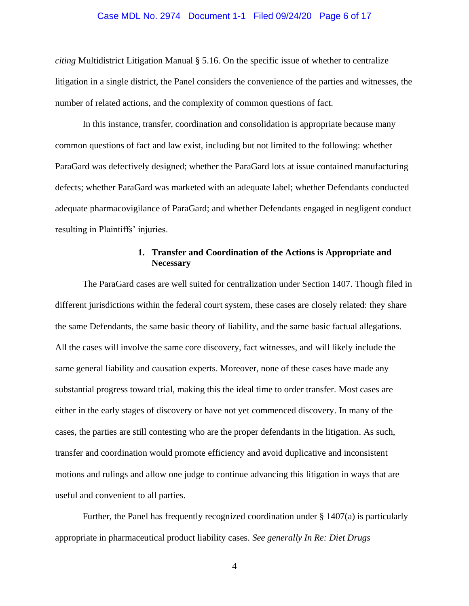#### Case MDL No. 2974 Document 1-1 Filed 09/24/20 Page 6 of 17

*citing* Multidistrict Litigation Manual § 5.16. On the specific issue of whether to centralize litigation in a single district, the Panel considers the convenience of the parties and witnesses, the number of related actions, and the complexity of common questions of fact.

In this instance, transfer, coordination and consolidation is appropriate because many common questions of fact and law exist, including but not limited to the following: whether ParaGard was defectively designed; whether the ParaGard lots at issue contained manufacturing defects; whether ParaGard was marketed with an adequate label; whether Defendants conducted adequate pharmacovigilance of ParaGard; and whether Defendants engaged in negligent conduct resulting in Plaintiffs' injuries.

## **1. Transfer and Coordination of the Actions is Appropriate and Necessary**

<span id="page-5-0"></span>The ParaGard cases are well suited for centralization under Section 1407. Though filed in different jurisdictions within the federal court system, these cases are closely related: they share the same Defendants, the same basic theory of liability, and the same basic factual allegations. All the cases will involve the same core discovery, fact witnesses, and will likely include the same general liability and causation experts. Moreover, none of these cases have made any substantial progress toward trial, making this the ideal time to order transfer. Most cases are either in the early stages of discovery or have not yet commenced discovery. In many of the cases, the parties are still contesting who are the proper defendants in the litigation. As such, transfer and coordination would promote efficiency and avoid duplicative and inconsistent motions and rulings and allow one judge to continue advancing this litigation in ways that are useful and convenient to all parties.

Further, the Panel has frequently recognized coordination under § 1407(a) is particularly appropriate in pharmaceutical product liability cases. *See generally In Re: Diet Drugs*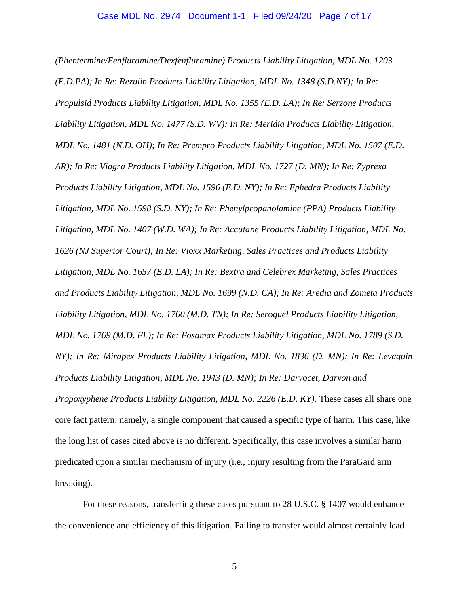*(Phentermine/Fenfluramine/Dexfenfluramine) Products Liability Litigation, MDL No. 1203 (E.D.PA); In Re: Rezulin Products Liability Litigation, MDL No. 1348 (S.D.NY); In Re: Propulsid Products Liability Litigation, MDL No. 1355 (E.D. LA); In Re: Serzone Products Liability Litigation, MDL No. 1477 (S.D. WV); In Re: Meridia Products Liability Litigation, MDL No. 1481 (N.D. OH); In Re: Prempro Products Liability Litigation, MDL No. 1507 (E.D. AR); In Re: Viagra Products Liability Litigation, MDL No. 1727 (D. MN); In Re: Zyprexa Products Liability Litigation, MDL No. 1596 (E.D. NY); In Re: Ephedra Products Liability Litigation, MDL No. 1598 (S.D. NY); In Re: Phenylpropanolamine (PPA) Products Liability Litigation, MDL No. 1407 (W.D. WA); In Re: Accutane Products Liability Litigation, MDL No. 1626 (NJ Superior Court); In Re: Vioxx Marketing, Sales Practices and Products Liability Litigation, MDL No. 1657 (E.D. LA); In Re: Bextra and Celebrex Marketing, Sales Practices and Products Liability Litigation, MDL No. 1699 (N.D. CA); In Re: Aredia and Zometa Products Liability Litigation, MDL No. 1760 (M.D. TN); In Re: Seroquel Products Liability Litigation, MDL No. 1769 (M.D. FL); In Re: Fosamax Products Liability Litigation, MDL No. 1789 (S.D. NY); In Re: Mirapex Products Liability Litigation, MDL No. 1836 (D. MN); In Re: Levaquin Products Liability Litigation, MDL No. 1943 (D. MN); In Re: Darvocet, Darvon and Propoxyphene Products Liability Litigation, MDL No. 2226 (E.D. KY).* These cases all share one core fact pattern: namely, a single component that caused a specific type of harm. This case, like the long list of cases cited above is no different. Specifically, this case involves a similar harm predicated upon a similar mechanism of injury (i.e., injury resulting from the ParaGard arm breaking).

For these reasons, transferring these cases pursuant to 28 U.S.C. § 1407 would enhance the convenience and efficiency of this litigation. Failing to transfer would almost certainly lead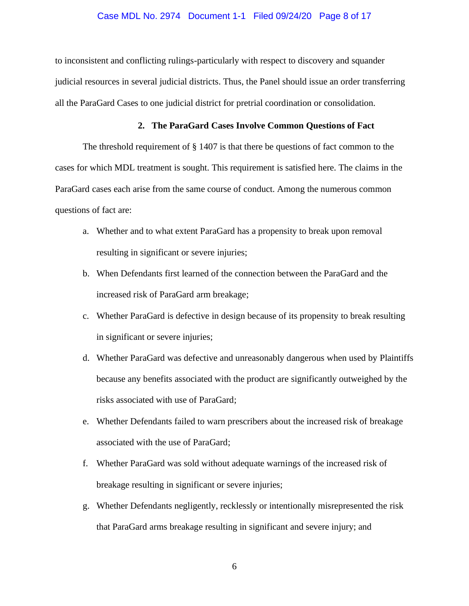#### Case MDL No. 2974 Document 1-1 Filed 09/24/20 Page 8 of 17

to inconsistent and conflicting rulings-particularly with respect to discovery and squander judicial resources in several judicial districts. Thus, the Panel should issue an order transferring all the ParaGard Cases to one judicial district for pretrial coordination or consolidation.

#### **2. The ParaGard Cases Involve Common Questions of Fact**

<span id="page-7-0"></span>The threshold requirement of § 1407 is that there be questions of fact common to the cases for which MDL treatment is sought. This requirement is satisfied here. The claims in the ParaGard cases each arise from the same course of conduct. Among the numerous common questions of fact are:

- a. Whether and to what extent ParaGard has a propensity to break upon removal resulting in significant or severe injuries;
- b. When Defendants first learned of the connection between the ParaGard and the increased risk of ParaGard arm breakage;
- c. Whether ParaGard is defective in design because of its propensity to break resulting in significant or severe injuries;
- d. Whether ParaGard was defective and unreasonably dangerous when used by Plaintiffs because any benefits associated with the product are significantly outweighed by the risks associated with use of ParaGard;
- e. Whether Defendants failed to warn prescribers about the increased risk of breakage associated with the use of ParaGard;
- f. Whether ParaGard was sold without adequate warnings of the increased risk of breakage resulting in significant or severe injuries;
- g. Whether Defendants negligently, recklessly or intentionally misrepresented the risk that ParaGard arms breakage resulting in significant and severe injury; and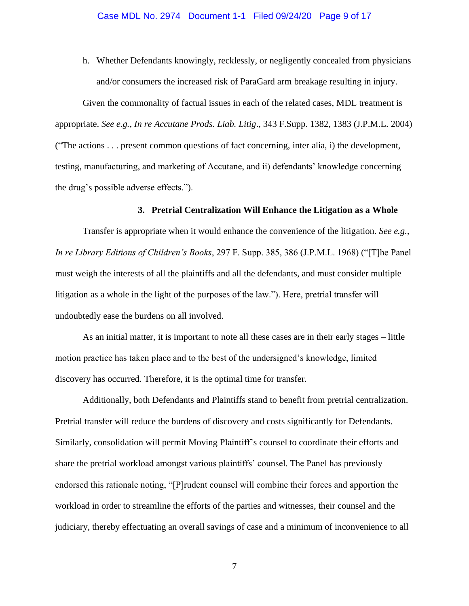h. Whether Defendants knowingly, recklessly, or negligently concealed from physicians and/or consumers the increased risk of ParaGard arm breakage resulting in injury.

Given the commonality of factual issues in each of the related cases, MDL treatment is appropriate. *See e.g., In re Accutane Prods. Liab. Litig*., 343 F.Supp. 1382, 1383 (J.P.M.L. 2004) ("The actions . . . present common questions of fact concerning, inter alia, i) the development, testing, manufacturing, and marketing of Accutane, and ii) defendants' knowledge concerning the drug's possible adverse effects.").

#### **3. Pretrial Centralization Will Enhance the Litigation as a Whole**

<span id="page-8-0"></span>Transfer is appropriate when it would enhance the convenience of the litigation. *See e.g., In re Library Editions of Children's Books*, 297 F. Supp. 385, 386 (J.P.M.L. 1968) ("[T]he Panel must weigh the interests of all the plaintiffs and all the defendants, and must consider multiple litigation as a whole in the light of the purposes of the law."). Here, pretrial transfer will undoubtedly ease the burdens on all involved.

As an initial matter, it is important to note all these cases are in their early stages – little motion practice has taken place and to the best of the undersigned's knowledge, limited discovery has occurred. Therefore, it is the optimal time for transfer.

Additionally, both Defendants and Plaintiffs stand to benefit from pretrial centralization. Pretrial transfer will reduce the burdens of discovery and costs significantly for Defendants. Similarly, consolidation will permit Moving Plaintiff's counsel to coordinate their efforts and share the pretrial workload amongst various plaintiffs' counsel. The Panel has previously endorsed this rationale noting, "[P]rudent counsel will combine their forces and apportion the workload in order to streamline the efforts of the parties and witnesses, their counsel and the judiciary, thereby effectuating an overall savings of case and a minimum of inconvenience to all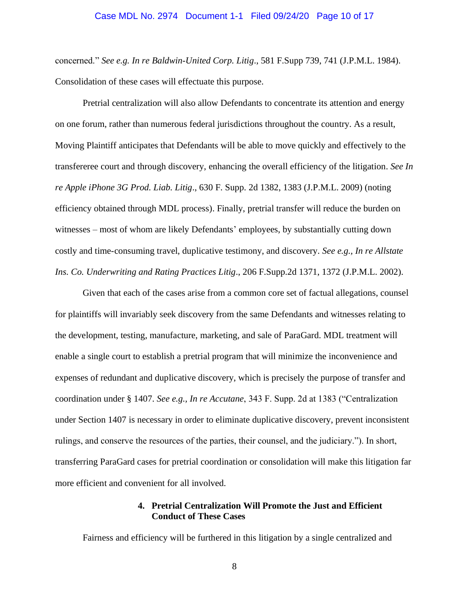#### Case MDL No. 2974 Document 1-1 Filed 09/24/20 Page 10 of 17

concerned." *See e.g. In re Baldwin-United Corp. Litig*., 581 F.Supp 739, 741 (J.P.M.L. 1984). Consolidation of these cases will effectuate this purpose.

Pretrial centralization will also allow Defendants to concentrate its attention and energy on one forum, rather than numerous federal jurisdictions throughout the country. As a result, Moving Plaintiff anticipates that Defendants will be able to move quickly and effectively to the transfereree court and through discovery, enhancing the overall efficiency of the litigation. *See In re Apple iPhone 3G Prod. Liab. Litig*., 630 F. Supp. 2d 1382, 1383 (J.P.M.L. 2009) (noting efficiency obtained through MDL process). Finally, pretrial transfer will reduce the burden on witnesses – most of whom are likely Defendants' employees, by substantially cutting down costly and time-consuming travel, duplicative testimony, and discovery. *See e.g., In re Allstate Ins. Co. Underwriting and Rating Practices Litig*., 206 F.Supp.2d 1371, 1372 (J.P.M.L. 2002).

Given that each of the cases arise from a common core set of factual allegations, counsel for plaintiffs will invariably seek discovery from the same Defendants and witnesses relating to the development, testing, manufacture, marketing, and sale of ParaGard. MDL treatment will enable a single court to establish a pretrial program that will minimize the inconvenience and expenses of redundant and duplicative discovery, which is precisely the purpose of transfer and coordination under § 1407. *See e.g., In re Accutane*, 343 F. Supp. 2d at 1383 ("Centralization under Section 1407 is necessary in order to eliminate duplicative discovery, prevent inconsistent rulings, and conserve the resources of the parties, their counsel, and the judiciary."). In short, transferring ParaGard cases for pretrial coordination or consolidation will make this litigation far more efficient and convenient for all involved.

## **4. Pretrial Centralization Will Promote the Just and Efficient Conduct of These Cases**

<span id="page-9-0"></span>Fairness and efficiency will be furthered in this litigation by a single centralized and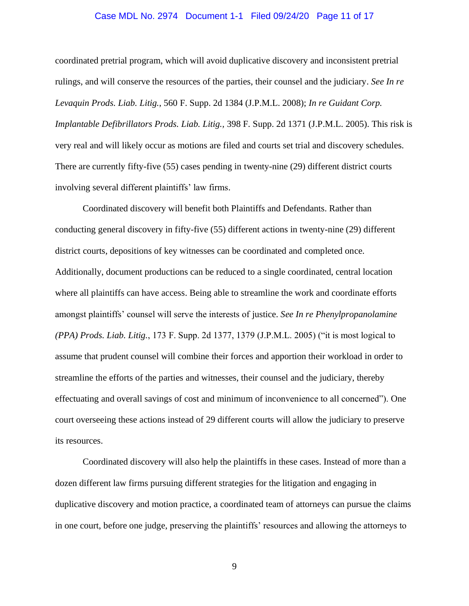#### Case MDL No. 2974 Document 1-1 Filed 09/24/20 Page 11 of 17

coordinated pretrial program, which will avoid duplicative discovery and inconsistent pretrial rulings, and will conserve the resources of the parties, their counsel and the judiciary. *See In re Levaquin Prods. Liab. Litig.*, 560 F. Supp. 2d 1384 (J.P.M.L. 2008); *In re Guidant Corp. Implantable Defibrillators Prods. Liab. Litig.,* 398 F. Supp. 2d 1371 (J.P.M.L. 2005). This risk is very real and will likely occur as motions are filed and courts set trial and discovery schedules. There are currently fifty-five (55) cases pending in twenty-nine (29) different district courts involving several different plaintiffs' law firms.

Coordinated discovery will benefit both Plaintiffs and Defendants. Rather than conducting general discovery in fifty-five (55) different actions in twenty-nine (29) different district courts, depositions of key witnesses can be coordinated and completed once. Additionally, document productions can be reduced to a single coordinated, central location where all plaintiffs can have access. Being able to streamline the work and coordinate efforts amongst plaintiffs' counsel will serve the interests of justice. *See In re Phenylpropanolamine (PPA) Prods. Liab. Litig.*, 173 F. Supp. 2d 1377, 1379 (J.P.M.L. 2005) ("it is most logical to assume that prudent counsel will combine their forces and apportion their workload in order to streamline the efforts of the parties and witnesses, their counsel and the judiciary, thereby effectuating and overall savings of cost and minimum of inconvenience to all concerned"). One court overseeing these actions instead of 29 different courts will allow the judiciary to preserve its resources.

Coordinated discovery will also help the plaintiffs in these cases. Instead of more than a dozen different law firms pursuing different strategies for the litigation and engaging in duplicative discovery and motion practice, a coordinated team of attorneys can pursue the claims in one court, before one judge, preserving the plaintiffs' resources and allowing the attorneys to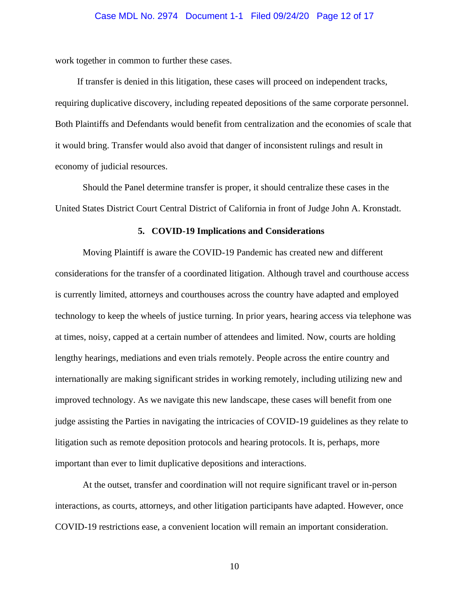work together in common to further these cases.

If transfer is denied in this litigation, these cases will proceed on independent tracks, requiring duplicative discovery, including repeated depositions of the same corporate personnel. Both Plaintiffs and Defendants would benefit from centralization and the economies of scale that it would bring. Transfer would also avoid that danger of inconsistent rulings and result in economy of judicial resources.

Should the Panel determine transfer is proper, it should centralize these cases in the United States District Court Central District of California in front of Judge John A. Kronstadt.

#### **5. COVID-19 Implications and Considerations**

<span id="page-11-0"></span>Moving Plaintiff is aware the COVID-19 Pandemic has created new and different considerations for the transfer of a coordinated litigation. Although travel and courthouse access is currently limited, attorneys and courthouses across the country have adapted and employed technology to keep the wheels of justice turning. In prior years, hearing access via telephone was at times, noisy, capped at a certain number of attendees and limited. Now, courts are holding lengthy hearings, mediations and even trials remotely. People across the entire country and internationally are making significant strides in working remotely, including utilizing new and improved technology. As we navigate this new landscape, these cases will benefit from one judge assisting the Parties in navigating the intricacies of COVID-19 guidelines as they relate to litigation such as remote deposition protocols and hearing protocols. It is, perhaps, more important than ever to limit duplicative depositions and interactions.

At the outset, transfer and coordination will not require significant travel or in-person interactions, as courts, attorneys, and other litigation participants have adapted. However, once COVID-19 restrictions ease, a convenient location will remain an important consideration.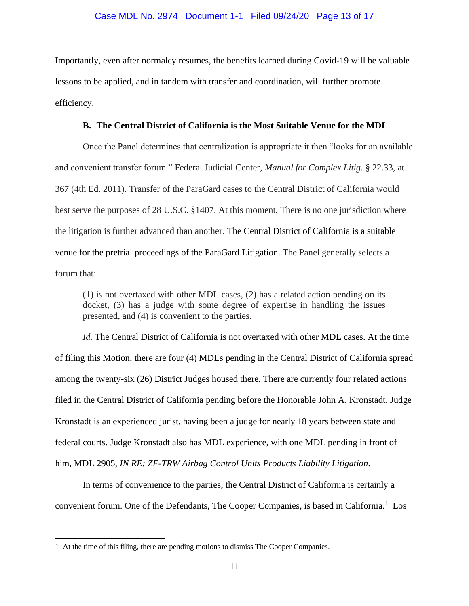Importantly, even after normalcy resumes, the benefits learned during Covid-19 will be valuable lessons to be applied, and in tandem with transfer and coordination, will further promote efficiency.

#### **B. The Central District of California is the Most Suitable Venue for the MDL**

<span id="page-12-0"></span>Once the Panel determines that centralization is appropriate it then "looks for an available and convenient transfer forum." Federal Judicial Center, *Manual for Complex Litig.* § 22.33, at 367 (4th Ed. 2011). Transfer of the ParaGard cases to the Central District of California would best serve the purposes of 28 U.S.C. §1407. At this moment, There is no one jurisdiction where the litigation is further advanced than another. The Central District of California is a suitable venue for the pretrial proceedings of the ParaGard Litigation. The Panel generally selects a forum that:

(1) is not overtaxed with other MDL cases, (2) has a related action pending on its docket, (3) has a judge with some degree of expertise in handling the issues presented, and (4) is convenient to the parties.

*Id.* The Central District of California is not overtaxed with other MDL cases. At the time of filing this Motion, there are four (4) MDLs pending in the Central District of California spread among the twenty-six (26) District Judges housed there. There are currently four related actions filed in the Central District of California pending before the Honorable John A. Kronstadt. Judge Kronstadt is an experienced jurist, having been a judge for nearly 18 years between state and federal courts. Judge Kronstadt also has MDL experience, with one MDL pending in front of him, MDL 2905, *IN RE: ZF-TRW Airbag Control Units Products Liability Litigation.*

In terms of convenience to the parties, the Central District of California is certainly a convenient forum. One of the Defendants, The Cooper Companies, is based in California.<sup>1</sup> Los

<sup>1</sup> At the time of this filing, there are pending motions to dismiss The Cooper Companies.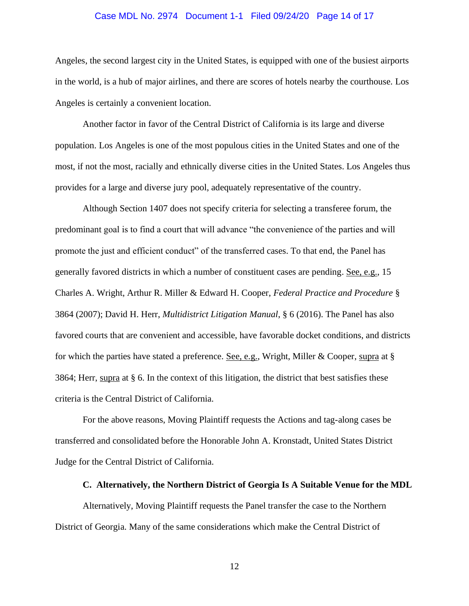#### Case MDL No. 2974 Document 1-1 Filed 09/24/20 Page 14 of 17

Angeles, the second largest city in the United States, is equipped with one of the busiest airports in the world, is a hub of major airlines, and there are scores of hotels nearby the courthouse. Los Angeles is certainly a convenient location.

Another factor in favor of the Central District of California is its large and diverse population. Los Angeles is one of the most populous cities in the United States and one of the most, if not the most, racially and ethnically diverse cities in the United States. Los Angeles thus provides for a large and diverse jury pool, adequately representative of the country.

Although Section 1407 does not specify criteria for selecting a transferee forum, the predominant goal is to find a court that will advance "the convenience of the parties and will promote the just and efficient conduct" of the transferred cases. To that end, the Panel has generally favored districts in which a number of constituent cases are pending. See, e.g., 15 Charles A. Wright, Arthur R. Miller & Edward H. Cooper, *Federal Practice and Procedure* § 3864 (2007); David H. Herr, *Multidistrict Litigation Manual*, § 6 (2016). The Panel has also favored courts that are convenient and accessible, have favorable docket conditions, and districts for which the parties have stated a preference. <u>See, e.g.</u>, Wright, Miller & Cooper, supra at  $\S$ 3864; Herr, supra at § 6. In the context of this litigation, the district that best satisfies these criteria is the Central District of California.

For the above reasons, Moving Plaintiff requests the Actions and tag-along cases be transferred and consolidated before the Honorable John A. Kronstadt, United States District Judge for the Central District of California.

#### **C. Alternatively, the Northern District of Georgia Is A Suitable Venue for the MDL**

<span id="page-13-0"></span>Alternatively, Moving Plaintiff requests the Panel transfer the case to the Northern District of Georgia. Many of the same considerations which make the Central District of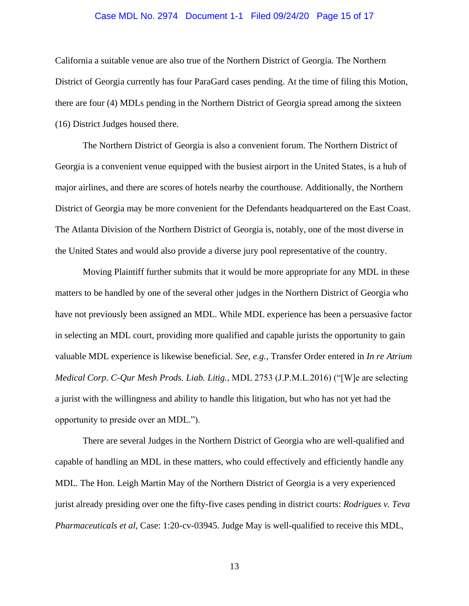#### Case MDL No. 2974 Document 1-1 Filed 09/24/20 Page 15 of 17

California a suitable venue are also true of the Northern District of Georgia. The Northern District of Georgia currently has four ParaGard cases pending. At the time of filing this Motion, there are four (4) MDLs pending in the Northern District of Georgia spread among the sixteen (16) District Judges housed there.

The Northern District of Georgia is also a convenient forum. The Northern District of Georgia is a convenient venue equipped with the busiest airport in the United States, is a hub of major airlines, and there are scores of hotels nearby the courthouse. Additionally, the Northern District of Georgia may be more convenient for the Defendants headquartered on the East Coast. The Atlanta Division of the Northern District of Georgia is, notably, one of the most diverse in the United States and would also provide a diverse jury pool representative of the country.

Moving Plaintiff further submits that it would be more appropriate for any MDL in these matters to be handled by one of the several other judges in the Northern District of Georgia who have not previously been assigned an MDL. While MDL experience has been a persuasive factor in selecting an MDL court, providing more qualified and capable jurists the opportunity to gain valuable MDL experience is likewise beneficial. *See, e.g.*, Transfer Order entered in *In re Atrium Medical Corp. C-Qur Mesh Prods. Liab. Litig.*, MDL 2753 (J.P.M.L.2016) ("[W]e are selecting a jurist with the willingness and ability to handle this litigation, but who has not yet had the opportunity to preside over an MDL.").

There are several Judges in the Northern District of Georgia who are well-qualified and capable of handling an MDL in these matters, who could effectively and efficiently handle any MDL. The Hon. Leigh Martin May of the Northern District of Georgia is a very experienced jurist already presiding over one the fifty-five cases pending in district courts: *Rodrigues v. Teva Pharmaceuticals et al,* Case: 1:20-cv-03945. Judge May is well-qualified to receive this MDL,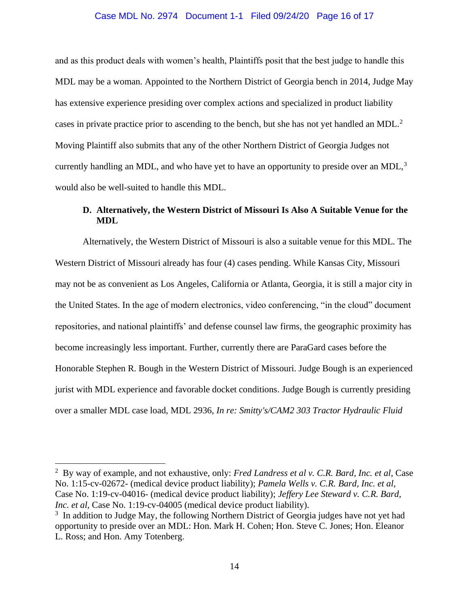#### Case MDL No. 2974 Document 1-1 Filed 09/24/20 Page 16 of 17

and as this product deals with women's health, Plaintiffs posit that the best judge to handle this MDL may be a woman. Appointed to the Northern District of Georgia bench in 2014, Judge May has extensive experience presiding over complex actions and specialized in product liability cases in private practice prior to ascending to the bench, but she has not yet handled an MDL.<sup>2</sup> Moving Plaintiff also submits that any of the other Northern District of Georgia Judges not currently handling an MDL, and who have yet to have an opportunity to preside over an MDL, $3$ would also be well-suited to handle this MDL.

## <span id="page-15-0"></span>**D. Alternatively, the Western District of Missouri Is Also A Suitable Venue for the MDL**

Alternatively, the Western District of Missouri is also a suitable venue for this MDL. The Western District of Missouri already has four (4) cases pending. While Kansas City, Missouri may not be as convenient as Los Angeles, California or Atlanta, Georgia, it is still a major city in the United States. In the age of modern electronics, video conferencing, "in the cloud" document repositories, and national plaintiffs' and defense counsel law firms, the geographic proximity has become increasingly less important. Further, currently there are ParaGard cases before the Honorable Stephen R. Bough in the Western District of Missouri. Judge Bough is an experienced jurist with MDL experience and favorable docket conditions. Judge Bough is currently presiding over a smaller MDL case load, MDL 2936, *In re: Smitty's/CAM2 303 Tractor Hydraulic Fluid* 

<sup>2</sup> By way of example, and not exhaustive, only: *Fred Landress et al v. C.R. Bard, Inc. et al*, Case No. 1:15-cv-02672- (medical device product liability); *Pamela Wells v. C.R. Bard, Inc. et al*, Case No. 1:19-cv-04016- (medical device product liability); *Jeffery Lee Steward v. C.R. Bard, Inc. et al, Case No.* 1:19-cv-04005 (medical device product liability).

<sup>&</sup>lt;sup>3</sup> In addition to Judge May, the following Northern District of Georgia judges have not yet had opportunity to preside over an MDL: Hon. Mark H. Cohen; Hon. Steve C. Jones; Hon. Eleanor L. Ross; and Hon. Amy Totenberg.